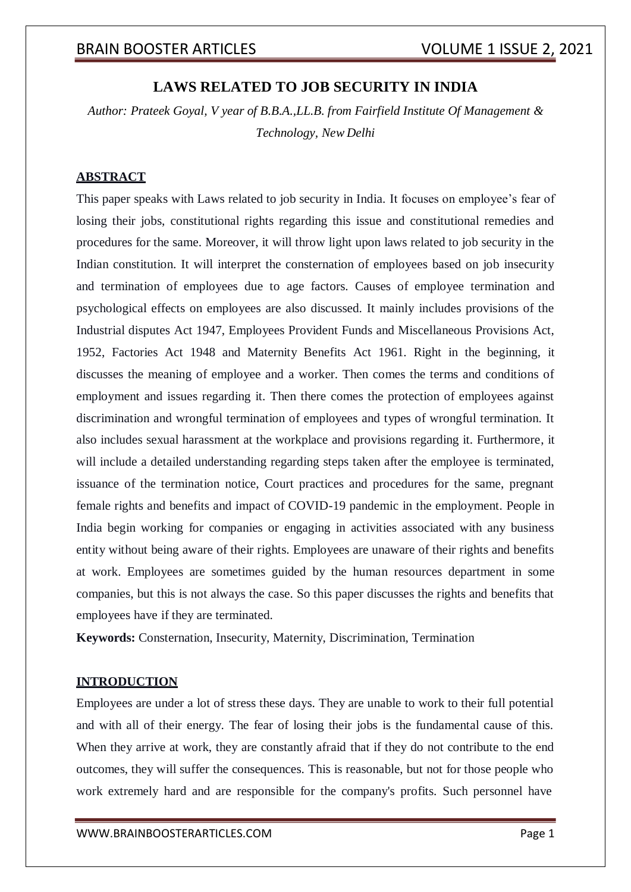## **LAWS RELATED TO JOB SECURITY IN INDIA**

*Author: Prateek Goyal, V year of B.B.A.,LL.B. from Fairfield Institute Of Management & Technology, New Delhi*

#### **ABSTRACT**

This paper speaks with Laws related to job security in India. It focuses on employee's fear of losing their jobs, constitutional rights regarding this issue and constitutional remedies and procedures for the same. Moreover, it will throw light upon laws related to job security in the Indian constitution. It will interpret the consternation of employees based on job insecurity and termination of employees due to age factors. Causes of employee termination and psychological effects on employees are also discussed. It mainly includes provisions of the Industrial disputes Act 1947, Employees Provident Funds and Miscellaneous Provisions Act, 1952, Factories Act 1948 and Maternity Benefits Act 1961. Right in the beginning, it discusses the meaning of employee and a worker. Then comes the terms and conditions of employment and issues regarding it. Then there comes the protection of employees against discrimination and wrongful termination of employees and types of wrongful termination. It also includes sexual harassment at the workplace and provisions regarding it. Furthermore, it will include a detailed understanding regarding steps taken after the employee is terminated, issuance of the termination notice, Court practices and procedures for the same, pregnant female rights and benefits and impact of COVID-19 pandemic in the employment. People in India begin working for companies or engaging in activities associated with any business entity without being aware of their rights. Employees are unaware of their rights and benefits at work. Employees are sometimes guided by the human resources department in some companies, but this is not always the case. So this paper discusses the rights and benefits that employees have if they are terminated.

**Keywords:** Consternation, Insecurity, Maternity, Discrimination, Termination

#### **INTRODUCTION**

Employees are under a lot of stress these days. They are unable to work to their full potential and with all of their energy. The fear of losing their jobs is the fundamental cause of this. When they arrive at work, they are constantly afraid that if they do not contribute to the end outcomes, they will suffer the consequences. This is reasonable, but not for those people who work extremely hard and are responsible for the company's profits. Such personnel have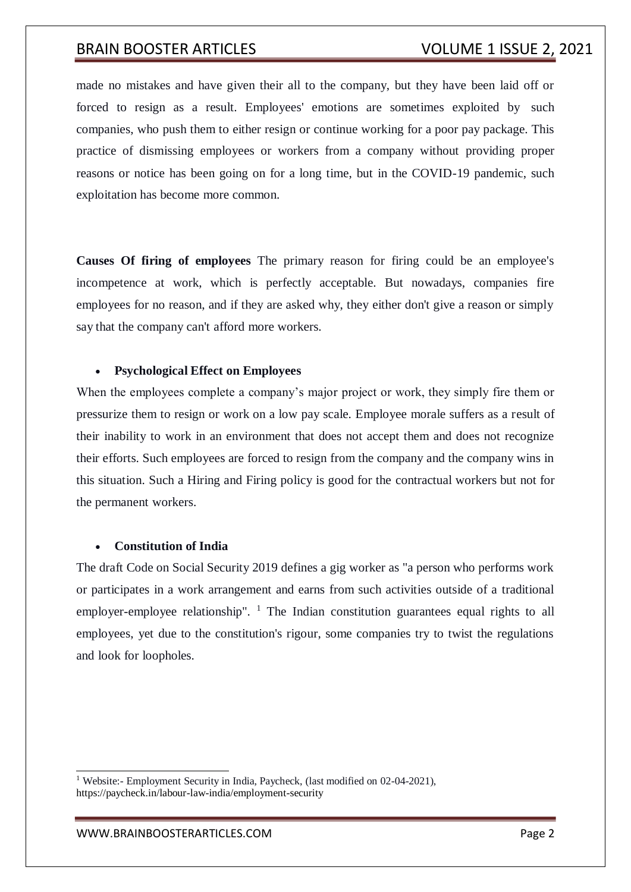made no mistakes and have given their all to the company, but they have been laid off or forced to resign as a result. Employees' emotions are sometimes exploited by such companies, who push them to either resign or continue working for a poor pay package. This practice of dismissing employees or workers from a company without providing proper reasons or notice has been going on for a long time, but in the COVID-19 pandemic, such exploitation has become more common.

**Causes Of firing of employees** The primary reason for firing could be an employee's incompetence at work, which is perfectly acceptable. But nowadays, companies fire employees for no reason, and if they are asked why, they either don't give a reason or simply say that the company can't afford more workers.

### **Psychological Effect on Employees**

When the employees complete a company's major project or work, they simply fire them or pressurize them to resign or work on a low pay scale. Employee morale suffers as a result of their inability to work in an environment that does not accept them and does not recognize their efforts. Such employees are forced to resign from the company and the company wins in this situation. Such a Hiring and Firing policy is good for the contractual workers but not for the permanent workers.

#### **Constitution of India**

The draft Code on Social Security 2019 defines a gig worker as "a person who performs work or participates in a work arrangement and earns from such activities outside of a traditional employer-employee relationship".  $\frac{1}{1}$  The Indian constitution guarantees equal rights to all employees, yet due to the constitution's rigour, some companies try to twist the regulations and look for loopholes.

[WWW.BRAINBOOSTERARTICLES.COM](http://www.brainboosterarticles.com/) **Page 2** 

<sup>&</sup>lt;sup>1</sup> Website:- Employment Security in India, Paycheck, (last modified on 02-04-2021), https://paycheck.in/labour-law-india/employment-security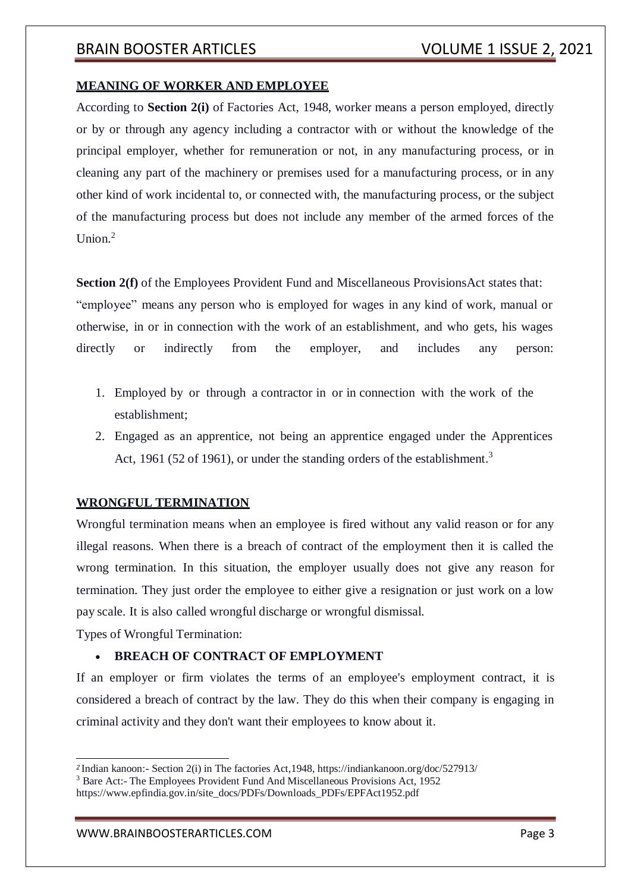#### **MEANING OF WORKER AND EMPLOYEE**

According to **Section 2(i)** of Factories Act, 1948, worker means a person employed, directly or by or through any agency including a contractor with or without the knowledge of the principal employer, whether for remuneration or not, in any manufacturing process, or in cleaning any part of the machinery or premises used for a manufacturing process, or in any other kind of work incidental to, or connected with, the manufacturing process, or the subject of the manufacturing process but does not include any member of the armed forces of the Union $^2$ 

**Section 2(f)** of the Employees Provident Fund and Miscellaneous ProvisionsAct states that:

"employee" means any person who is employed for wages in any kind of work, manual or otherwise, in or in connection with the work of an establishment, and who gets, his wages directly or indirectly from the employer, and includes any person:

- 1. Employed by or through a contractor in or in connection with the work of the establishment;
- 2. Engaged as an apprentice, not being an apprentice engaged under the Apprentices Act, 1961 (52 of 1961), or under the standing orders of the establishment.<sup>3</sup>

#### **WRONGFUL TERMINATION**

Wrongful termination means when an employee is fired without any valid reason or for any illegal reasons. When there is a breach of contract of the employment then it is called the wrong termination. In this situation, the employer usually does not give any reason for termination. They just order the employee to either give a resignation or just work on a low pay scale. It is also called wrongful discharge or wrongful dismissal.

Types of Wrongful Termination:

#### **BREACH OF CONTRACT OF EMPLOYMENT**

If an employer or firm violates the terms of an employee's employment contract, it is considered a breach of contract by the law. They do this when their company is engaging in criminal activity and they don't want their employees to know about it.

*<sup>2</sup>*Indian kanoon:- Section 2(i) in The factories Act,1948, https://indiankanoon.org/doc/527913/

<sup>3</sup> Bare Act:- The Employees Provident Fund And Miscellaneous Provisions Act, 1952

https:/[/www.epfindia.gov.in/site\\_docs/PDFs/Downloads\\_PDFs/EPFAct1952.pdf](http://www.epfindia.gov.in/site_docs/PDFs/Downloads_PDFs/EPFAct1952.pdf)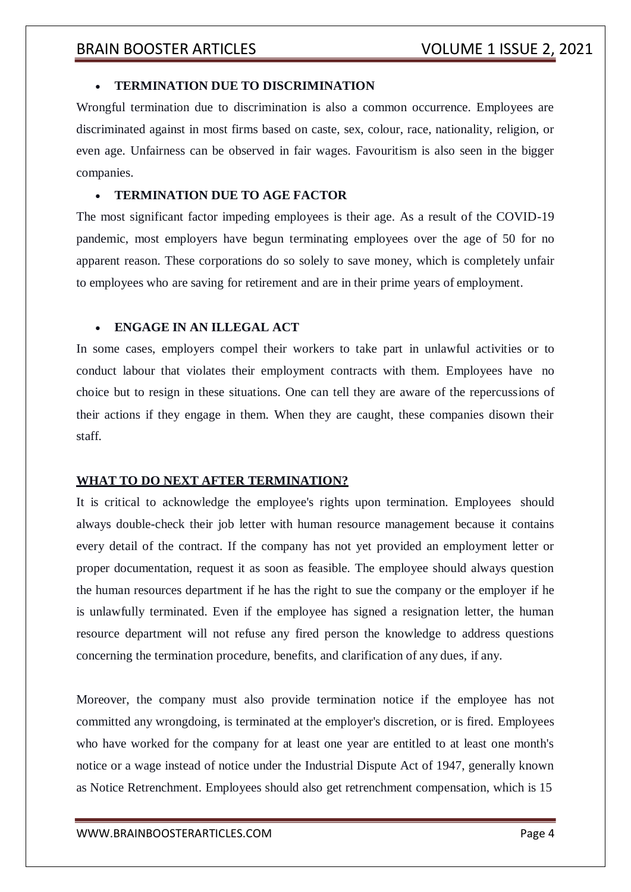#### **TERMINATION DUE TO DISCRIMINATION**

Wrongful termination due to discrimination is also a common occurrence. Employees are discriminated against in most firms based on caste, sex, colour, race, nationality, religion, or even age. Unfairness can be observed in fair wages. Favouritism is also seen in the bigger companies.

#### **TERMINATION DUE TO AGE FACTOR**

The most significant factor impeding employees is their age. As a result of the COVID-19 pandemic, most employers have begun terminating employees over the age of 50 for no apparent reason. These corporations do so solely to save money, which is completely unfair to employees who are saving for retirement and are in their prime years of employment.

#### **ENGAGE IN AN ILLEGAL ACT**

In some cases, employers compel their workers to take part in unlawful activities or to conduct labour that violates their employment contracts with them. Employees have no choice but to resign in these situations. One can tell they are aware of the repercussions of their actions if they engage in them. When they are caught, these companies disown their staff.

#### **WHAT TO DO NEXT AFTER TERMINATION?**

It is critical to acknowledge the employee's rights upon termination. Employees should always double-check their job letter with human resource management because it contains every detail of the contract. If the company has not yet provided an employment letter or proper documentation, request it as soon as feasible. The employee should always question the human resources department if he has the right to sue the company or the employer if he is unlawfully terminated. Even if the employee has signed a resignation letter, the human resource department will not refuse any fired person the knowledge to address questions concerning the termination procedure, benefits, and clarification of any dues, if any.

Moreover, the company must also provide termination notice if the employee has not committed any wrongdoing, is terminated at the employer's discretion, or is fired. Employees who have worked for the company for at least one year are entitled to at least one month's notice or a wage instead of notice under the Industrial Dispute Act of 1947, generally known as Notice Retrenchment. Employees should also get retrenchment compensation, which is 15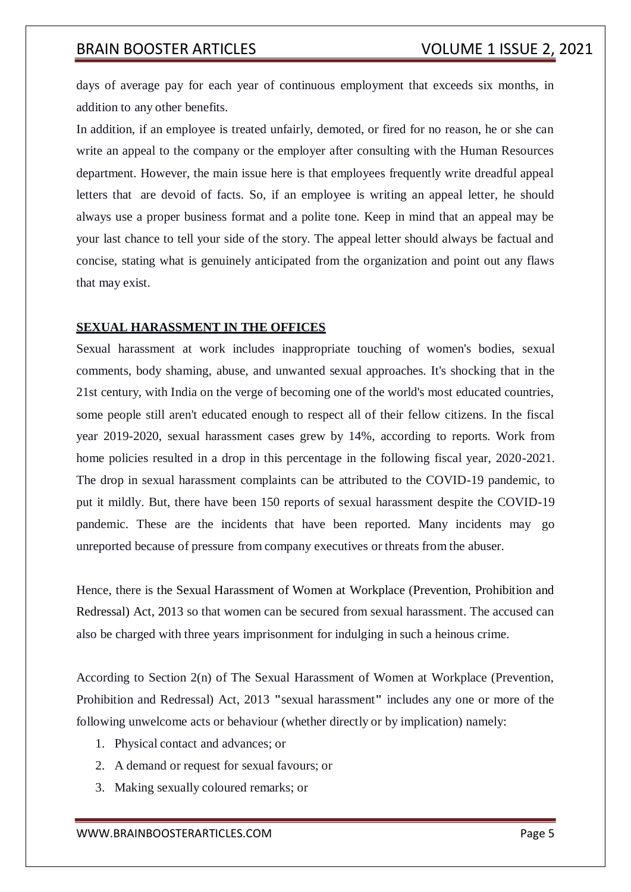days of average pay for each year of continuous employment that exceeds six months, in addition to any other benefits.

In addition, if an employee is treated unfairly, demoted, or fired for no reason, he or she can write an appeal to the company or the employer after consulting with the Human Resources department. However, the main issue here is that employees frequently write dreadful appeal letters that are devoid of facts. So, if an employee is writing an appeal letter, he should always use a proper business format and a polite tone. Keep in mind that an appeal may be your last chance to tell your side of the story. The appeal letter should always be factual and concise, stating what is genuinely anticipated from the organization and point out any flaws that may exist.

#### **SEXUAL HARASSMENT IN THE OFFICES**

Sexual harassment at work includes inappropriate touching of women's bodies, sexual comments, body shaming, abuse, and unwanted sexual approaches. It's shocking that in the 21st century, with India on the verge of becoming one of the world's most educated countries, some people still aren't educated enough to respect all of their fellow citizens. In the fiscal year 2019-2020, sexual harassment cases grew by 14%, according to reports. Work from home policies resulted in a drop in this percentage in the following fiscal year, 2020-2021. The drop in sexual harassment complaints can be attributed to the COVID-19 pandemic, to put it mildly. But, there have been 150 reports of sexual harassment despite the COVID-19 pandemic. These are the incidents that have been reported. Many incidents may go unreported because of pressure from company executives or threats from the abuser.

Hence, there is the Sexual Harassment of Women at Workplace (Prevention, Prohibition and Redressal) Act, 2013 so that women can be secured from sexual harassment. The accused can also be charged with three years imprisonment for indulging in such a heinous crime.

According to Section 2(n) of The Sexual Harassment of Women at Workplace (Prevention, Prohibition and Redressal) Act, 2013 **"**sexual harassment**"** includes any one or more of the following unwelcome acts or behaviour (whether directly or by implication) namely:

- 1. Physical contact and advances; or
- 2. A demand or request for sexual favours; or
- 3. Making sexually coloured remarks; or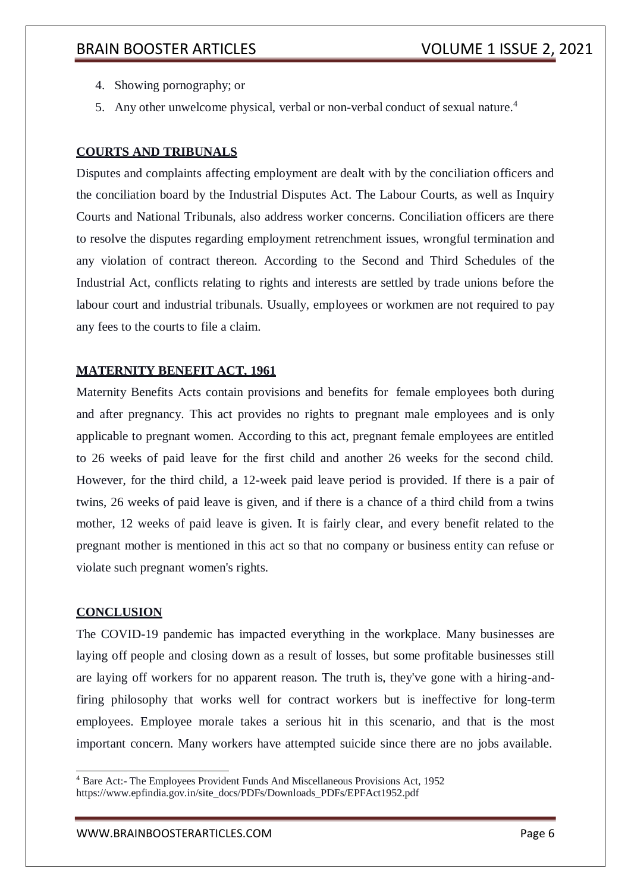- 4. Showing pornography; or
- 5. Any other unwelcome physical, verbal or non-verbal conduct of sexual nature.<sup>4</sup>

## **COURTS AND TRIBUNALS**

Disputes and complaints affecting employment are dealt with by the conciliation officers and the conciliation board by the Industrial Disputes Act. The Labour Courts, as well as Inquiry Courts and National Tribunals, also address worker concerns. Conciliation officers are there to resolve the disputes regarding employment retrenchment issues, wrongful termination and any violation of contract thereon. According to the Second and Third Schedules of the Industrial Act, conflicts relating to rights and interests are settled by trade unions before the labour court and industrial tribunals. Usually, employees or workmen are not required to pay any fees to the courts to file a claim.

#### **MATERNITY BENEFIT ACT, 1961**

Maternity Benefits Acts contain provisions and benefits for female employees both during and after pregnancy. This act provides no rights to pregnant male employees and is only applicable to pregnant women. According to this act, pregnant female employees are entitled to 26 weeks of paid leave for the first child and another 26 weeks for the second child. However, for the third child, a 12-week paid leave period is provided. If there is a pair of twins, 26 weeks of paid leave is given, and if there is a chance of a third child from a twins mother, 12 weeks of paid leave is given. It is fairly clear, and every benefit related to the pregnant mother is mentioned in this act so that no company or business entity can refuse or violate such pregnant women's rights.

#### **CONCLUSION**

The COVID-19 pandemic has impacted everything in the workplace. Many businesses are laying off people and closing down as a result of losses, but some profitable businesses still are laying off workers for no apparent reason. The truth is, they've gone with a hiring-andfiring philosophy that works well for contract workers but is ineffective for long-term employees. Employee morale takes a serious hit in this scenario, and that is the most important concern. Many workers have attempted suicide since there are no jobs available.

<sup>4</sup> Bare Act:- The Employees Provident Funds And Miscellaneous Provisions Act, 1952 https:/[/www.epfindia.gov.in/site\\_docs/PDFs/Downloads\\_PDFs/EPFAct1952.pdf](http://www.epfindia.gov.in/site_docs/PDFs/Downloads_PDFs/EPFAct1952.pdf)